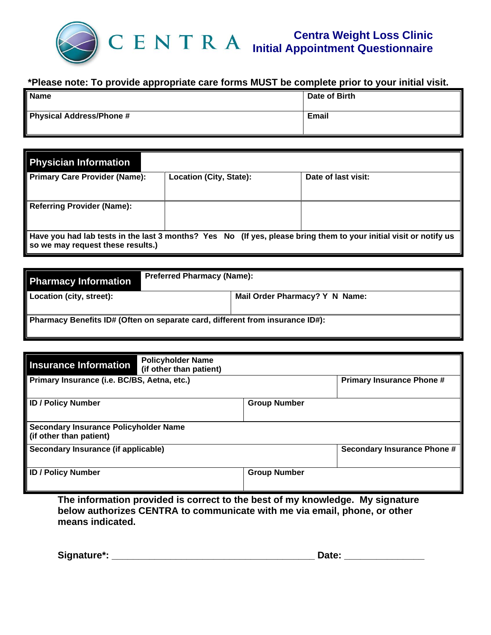

## **\*Please note: To provide appropriate care forms MUST be complete prior to your initial visit.**

| Name                     | Date of Birth |
|--------------------------|---------------|
| Physical Address/Phone # | Email         |

| <b>Physician Information</b>                                                                                                                           |                         |                     |  |  |  |
|--------------------------------------------------------------------------------------------------------------------------------------------------------|-------------------------|---------------------|--|--|--|
| <b>Primary Care Provider (Name):</b>                                                                                                                   | Location (City, State): | Date of last visit: |  |  |  |
| <b>Referring Provider (Name):</b>                                                                                                                      |                         |                     |  |  |  |
| Have you had lab tests in the last 3 months? Yes No (If yes, please bring them to your initial visit or notify us<br>so we may request these results.) |                         |                     |  |  |  |

| <b>Pharmacy Information</b>                                                   | <b>Preferred Pharmacy (Name):</b> |  |  |  |
|-------------------------------------------------------------------------------|-----------------------------------|--|--|--|
| Location (city, street):                                                      | Mail Order Pharmacy? Y N Name:    |  |  |  |
| Pharmacy Benefits ID# (Often on separate card, different from insurance ID#): |                                   |  |  |  |

| <b>Policyholder Name</b><br><b>Insurance Information</b><br>(if other than patient) |                                  |
|-------------------------------------------------------------------------------------|----------------------------------|
| Primary Insurance (i.e. BC/BS, Aetna, etc.)                                         | <b>Primary Insurance Phone #</b> |
| <b>ID / Policy Number</b>                                                           | <b>Group Number</b>              |
| <b>Secondary Insurance Policyholder Name</b><br>(if other than patient)             |                                  |
| Secondary Insurance (if applicable)                                                 | Secondary Insurance Phone #      |
| <b>ID / Policy Number</b>                                                           | <b>Group Number</b>              |

**The information provided is correct to the best of my knowledge. My signature below authorizes CENTRA to communicate with me via email, phone, or other means indicated.**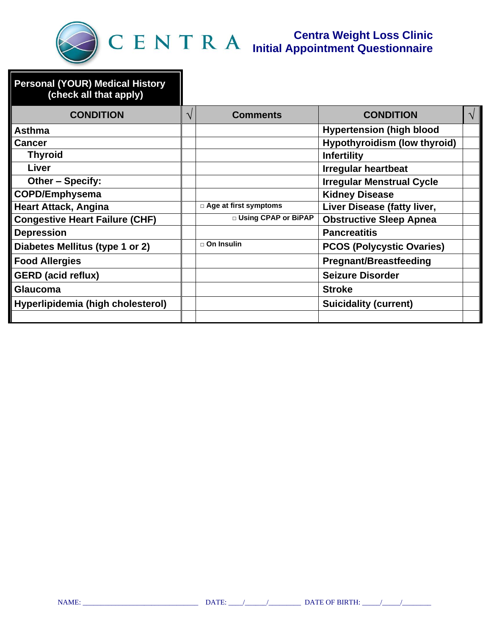

| <b>Personal (YOUR) Medical History</b><br>(check all that apply) |           |                              |                                     |            |
|------------------------------------------------------------------|-----------|------------------------------|-------------------------------------|------------|
| <b>CONDITION</b>                                                 | $\sqrt{}$ | <b>Comments</b>              | <b>CONDITION</b>                    | $\sqrt{ }$ |
| Asthma                                                           |           |                              | <b>Hypertension (high blood</b>     |            |
| <b>Cancer</b>                                                    |           |                              | <b>Hypothyroidism (low thyroid)</b> |            |
| <b>Thyroid</b>                                                   |           |                              | <b>Infertility</b>                  |            |
| Liver                                                            |           |                              | <b>Irregular heartbeat</b>          |            |
| Other - Specify:                                                 |           |                              | <b>Irregular Menstrual Cycle</b>    |            |
| <b>COPD/Emphysema</b>                                            |           |                              | <b>Kidney Disease</b>               |            |
| <b>Heart Attack, Angina</b>                                      |           | □ Age at first symptoms      | Liver Disease (fatty liver,         |            |
| <b>Congestive Heart Failure (CHF)</b>                            |           | <b>D</b> Using CPAP or BiPAP | <b>Obstructive Sleep Apnea</b>      |            |
| <b>Depression</b>                                                |           |                              | <b>Pancreatitis</b>                 |            |
| Diabetes Mellitus (type 1 or 2)                                  |           | $\Box$ On Insulin            | <b>PCOS (Polycystic Ovaries)</b>    |            |
| <b>Food Allergies</b>                                            |           |                              | <b>Pregnant/Breastfeeding</b>       |            |
| <b>GERD</b> (acid reflux)                                        |           |                              | <b>Seizure Disorder</b>             |            |
| <b>Glaucoma</b>                                                  |           |                              | <b>Stroke</b>                       |            |
| Hyperlipidemia (high cholesterol)                                |           |                              | <b>Suicidality (current)</b>        |            |
|                                                                  |           |                              |                                     |            |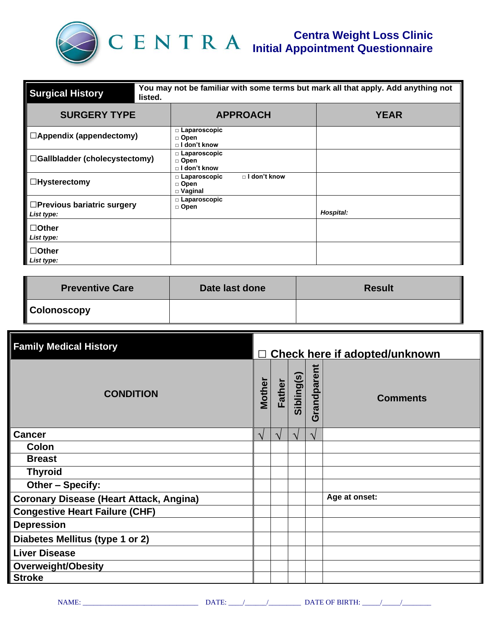

| You may not be familiar with some terms but mark all that apply. Add anything not<br><b>Surgical History</b><br>listed. |                                                                   |             |  |  |  |
|-------------------------------------------------------------------------------------------------------------------------|-------------------------------------------------------------------|-------------|--|--|--|
| <b>SURGERY TYPE</b>                                                                                                     | <b>APPROACH</b>                                                   | <b>YEAR</b> |  |  |  |
| $\Box$ Appendix (appendectomy)                                                                                          | $\Box$ Laparoscopic<br>□ Open<br>$\Box$ I don't know              |             |  |  |  |
| □Gallbladder (cholecystectomy)                                                                                          | $\Box$ Laparoscopic<br>□ Open<br>□ I don't know                   |             |  |  |  |
| $\Box$ Hysterectomy                                                                                                     | □ I don't know<br>$\Box$ Laparoscopic<br>□ Open<br>$\Box$ Vaginal |             |  |  |  |
| □Previous bariatric surgery<br>List type:                                                                               | $\Box$ Laparoscopic<br>□ Open                                     | Hospital:   |  |  |  |
| $\Box$ Other<br>List type:                                                                                              |                                                                   |             |  |  |  |
| $\Box$ Other<br>List type:                                                                                              |                                                                   |             |  |  |  |

| <b>Preventive Care</b> | Date last done | <b>Result</b> |
|------------------------|----------------|---------------|
| <b>Colonoscopy</b>     |                |               |

| <b>Family Medical History</b>                  | □ Check here if adopted/unknown |               |               |             |                 |
|------------------------------------------------|---------------------------------|---------------|---------------|-------------|-----------------|
| <b>CONDITION</b>                               | <b>Mother</b>                   | Father        | Sibling(s)    | Grandparent | <b>Comments</b> |
| <b>Cancer</b>                                  | $\mathcal{N}$                   | $\mathcal{N}$ | $\mathcal{N}$ | $\sqrt{ }$  |                 |
| Colon                                          |                                 |               |               |             |                 |
| <b>Breast</b>                                  |                                 |               |               |             |                 |
| <b>Thyroid</b>                                 |                                 |               |               |             |                 |
| Other - Specify:                               |                                 |               |               |             |                 |
| <b>Coronary Disease (Heart Attack, Angina)</b> |                                 |               |               |             | Age at onset:   |
| <b>Congestive Heart Failure (CHF)</b>          |                                 |               |               |             |                 |
| <b>Depression</b>                              |                                 |               |               |             |                 |
| Diabetes Mellitus (type 1 or 2)                |                                 |               |               |             |                 |
| <b>Liver Disease</b>                           |                                 |               |               |             |                 |
| <b>Overweight/Obesity</b>                      |                                 |               |               |             |                 |
| <b>Stroke</b>                                  |                                 |               |               |             |                 |

NAME: \_\_\_\_\_\_\_\_\_\_\_\_\_\_\_\_\_\_\_\_\_\_\_\_\_\_\_\_\_\_\_\_ DATE: \_\_\_\_/\_\_\_\_\_\_/\_\_\_\_\_\_\_\_\_ DATE OF BIRTH: \_\_\_\_\_/\_\_\_\_\_/\_\_\_\_\_\_\_\_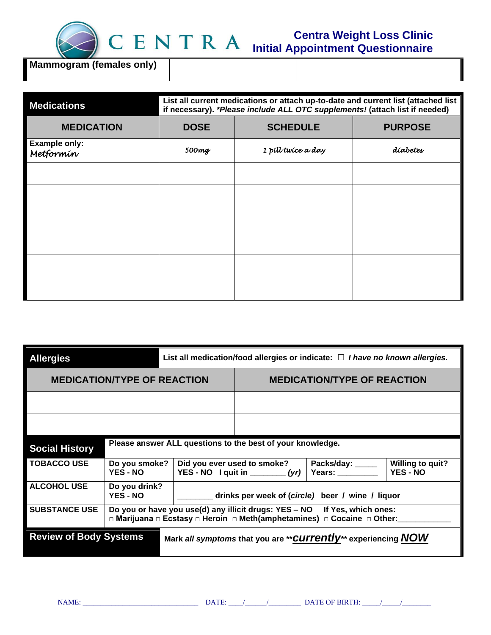

║

**Mammogram (females only)**

| <b>Medications</b>                | List all current medications or attach up-to-date and current list (attached list<br>if necessary). *Please include ALL OTC supplements! (attach list if needed) |                    |                |  |  |
|-----------------------------------|------------------------------------------------------------------------------------------------------------------------------------------------------------------|--------------------|----------------|--|--|
| <b>MEDICATION</b>                 | <b>DOSE</b>                                                                                                                                                      | <b>SCHEDULE</b>    | <b>PURPOSE</b> |  |  |
| <b>Example only:</b><br>Metformín | 500mg                                                                                                                                                            | 1 pill twice a day | díabetes       |  |  |
|                                   |                                                                                                                                                                  |                    |                |  |  |
|                                   |                                                                                                                                                                  |                    |                |  |  |
|                                   |                                                                                                                                                                  |                    |                |  |  |
|                                   |                                                                                                                                                                  |                    |                |  |  |
|                                   |                                                                                                                                                                  |                    |                |  |  |
|                                   |                                                                                                                                                                  |                    |                |  |  |

| <b>Allergies</b>                                                                                  |                                  | List all medication/food allergies or indicate: $\Box$ I have no known allergies.                                                                    |                                                                                                                                                                     |  |  |  |
|---------------------------------------------------------------------------------------------------|----------------------------------|------------------------------------------------------------------------------------------------------------------------------------------------------|---------------------------------------------------------------------------------------------------------------------------------------------------------------------|--|--|--|
| <b>MEDICATION/TYPE OF REACTION</b>                                                                |                                  |                                                                                                                                                      | <b>MEDICATION/TYPE OF REACTION</b>                                                                                                                                  |  |  |  |
|                                                                                                   |                                  |                                                                                                                                                      |                                                                                                                                                                     |  |  |  |
|                                                                                                   |                                  |                                                                                                                                                      |                                                                                                                                                                     |  |  |  |
| <b>Social History</b>                                                                             |                                  | Please answer ALL questions to the best of your knowledge.                                                                                           |                                                                                                                                                                     |  |  |  |
| <b>TOBACCO USE</b>                                                                                | Do you smoke?<br><b>YES - NO</b> |                                                                                                                                                      | <b>Willing to quit?</b><br>Did you ever used to smoke?<br>Packs/day: _____<br><b>Years:</b> The Manuscripture<br><b>YES - NO</b><br>YES - NO I quit in $_{\_}$ (yr) |  |  |  |
| <b>ALCOHOL USE</b>                                                                                | Do you drink?<br><b>YES - NO</b> |                                                                                                                                                      | drinks per week of (circle) beer / wine / liquor                                                                                                                    |  |  |  |
| <b>SUBSTANCE USE</b>                                                                              |                                  | Do you or have you use(d) any illicit drugs: YES – NO If Yes, which ones:<br>□ Marijuana □ Ecstasy □ Heroin □ Meth(amphetamines) □ Cocaine □ Other:_ |                                                                                                                                                                     |  |  |  |
| <b>Review of Body Systems</b><br>Mark all symptoms that you are ** CUITENtly** experiencing $NOW$ |                                  |                                                                                                                                                      |                                                                                                                                                                     |  |  |  |

NAME: \_\_\_\_\_\_\_\_\_\_\_\_\_\_\_\_\_\_\_\_\_\_\_\_\_\_\_\_\_\_\_\_ DATE: \_\_\_\_/\_\_\_\_\_\_/\_\_\_\_\_\_\_\_\_ DATE OF BIRTH: \_\_\_\_\_/\_\_\_\_\_/\_\_\_\_\_\_\_\_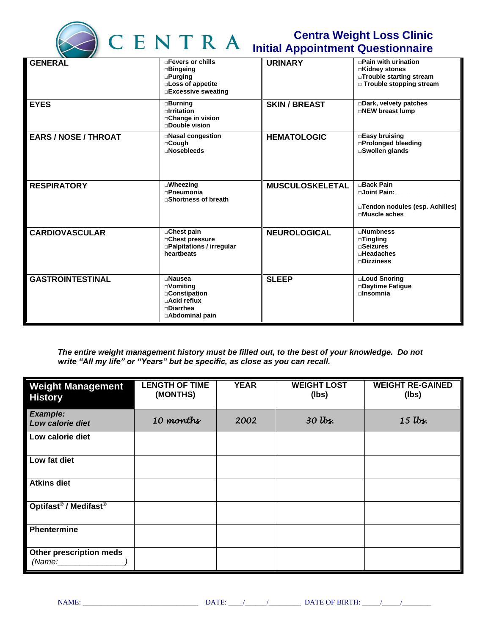

## **Centra Weight Loss Clinic Initial Appointment Questionnaire**

| <b>GENERAL</b>              | □ Fevers or chills<br>$\square$ Bingeing<br>$\square$ Purging<br><b>Loss of appetite</b><br>□Excessive sweating     | <b>URINARY</b>         | $\Box$ Pain with urination<br>□Kidney stones<br>□Trouble starting stream<br>□ Trouble stopping stream |
|-----------------------------|---------------------------------------------------------------------------------------------------------------------|------------------------|-------------------------------------------------------------------------------------------------------|
| <b>EYES</b>                 | <b>Burning</b><br>$\Box$ Irritation<br>□ Change in vision<br>$\Box$ Double vision                                   | <b>SKIN / BREAST</b>   | Dark, velvety patches<br>□NEW breast lump                                                             |
| <b>EARS / NOSE / THROAT</b> | □Nasal congestion<br>□Cough<br><b>⊓Nosebleeds</b>                                                                   | <b>HEMATOLOGIC</b>     | □Easy bruising<br>□Prolonged bleeding<br>□Swollen glands                                              |
| <b>RESPIRATORY</b>          | $\square$ Wheezing<br><b><u>nPneumonia</u></b><br>□Shortness of breath                                              | <b>MUSCULOSKELETAL</b> | <b>□Back Pain</b><br><b>□Joint Pain:</b><br>□Tendon nodules (esp. Achilles)<br>□Muscle aches          |
| <b>CARDIOVASCULAR</b>       | □ Chest pain<br>□ Chest pressure<br>□Palpitations / irregular<br>heartbeats                                         | <b>NEUROLOGICAL</b>    | $\neg$ Numbness<br>$\square$ Tingling<br><b>⊓Seizures</b><br>$\Box$ Headaches<br>$\square$ Dizziness  |
| <b>GASTROINTESTINAL</b>     | <b>⊓Nausea</b><br>□Vomiting<br>□ Constipation<br><b>⊓Acid reflux</b><br><b><u></u></b> ⊓Diarrhea<br>□Abdominal pain | <b>SLEEP</b>           | □Loud Snoring<br>□Daytime Fatique<br>$n$ Insomnia                                                     |

*The entire weight management history must be filled out, to the best of your knowledge. Do not write "All my life" or "Years" but be specific, as close as you can recall.*

| <b>Weight Management</b><br><b>History</b>    | <b>LENGTH OF TIME</b><br>(MONTHS) | <b>YEAR</b> | <b>WEIGHT LOST</b><br>(lbs) | <b>WEIGHT RE-GAINED</b><br>(lbs) |
|-----------------------------------------------|-----------------------------------|-------------|-----------------------------|----------------------------------|
| <b>Example:</b><br>Low calorie diet           | 10 months                         | 2002        | $30$ lbs.                   | $15$ lbs.                        |
| Low calorie diet                              |                                   |             |                             |                                  |
| Low fat diet                                  |                                   |             |                             |                                  |
| <b>Atkins diet</b>                            |                                   |             |                             |                                  |
| Optifast <sup>®</sup> / Medifast <sup>®</sup> |                                   |             |                             |                                  |
| <b>Phentermine</b>                            |                                   |             |                             |                                  |
| Other prescription meds<br>(Name:             |                                   |             |                             |                                  |

NAME: \_\_\_\_\_\_\_\_\_\_\_\_\_\_\_\_\_\_\_\_\_\_\_\_\_\_\_\_\_\_\_\_ DATE: \_\_\_\_/\_\_\_\_\_\_/\_\_\_\_\_\_\_\_\_ DATE OF BIRTH: \_\_\_\_\_/\_\_\_\_\_/\_\_\_\_\_\_\_\_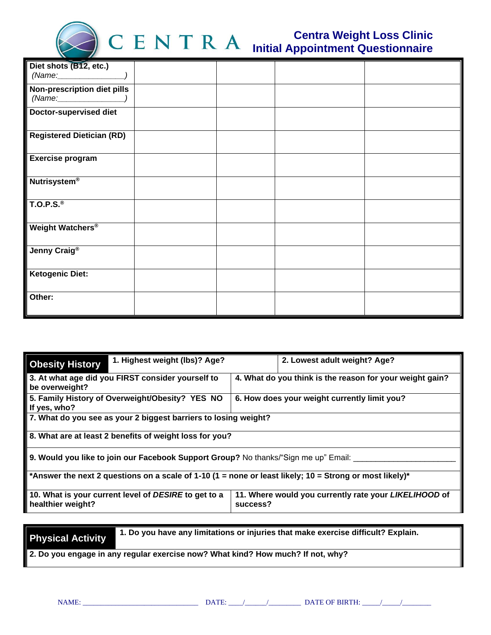

| Diet shots (B12, etc.)                       |  |  |
|----------------------------------------------|--|--|
| <b>Non-prescription diet pills</b><br>(Name: |  |  |
| <b>Doctor-supervised diet</b>                |  |  |
| <b>Registered Dietician (RD)</b>             |  |  |
| <b>Exercise program</b>                      |  |  |
| <b>Nutrisystem®</b>                          |  |  |
| $\overline{$ T.O.P.S. <sup>®</sup>           |  |  |
| Weight Watchers®                             |  |  |
| Jenny Craig <sup>®</sup>                     |  |  |
| <b>Ketogenic Diet:</b>                       |  |  |
| Other:                                       |  |  |

| 1. Highest weight (lbs)? Age?<br><b>Obesity History</b>                                                 | 2. Lowest adult weight? Age?                                      |  |  |  |
|---------------------------------------------------------------------------------------------------------|-------------------------------------------------------------------|--|--|--|
| 3. At what age did you FIRST consider yourself to<br>be overweight?                                     | 4. What do you think is the reason for your weight gain?          |  |  |  |
| 5. Family History of Overweight/Obesity? YES NO<br>If yes, who?                                         | 6. How does your weight currently limit you?                      |  |  |  |
| 7. What do you see as your 2 biggest barriers to losing weight?                                         |                                                                   |  |  |  |
| 8. What are at least 2 benefits of weight loss for you?                                                 |                                                                   |  |  |  |
| 9. Would you like to join our Facebook Support Group? No thanks/"Sign me up" Email: ____                |                                                                   |  |  |  |
| *Answer the next 2 questions on a scale of 1-10 (1 = none or least likely; 10 = Strong or most likely)* |                                                                   |  |  |  |
| 10. What is your current level of DESIRE to get to a<br>healthier weight?                               | 11. Where would you currently rate your LIKELIHOOD of<br>success? |  |  |  |

**Physical Activity 1. Do you have any limitations or injuries that make exercise difficult? Explain.**

**2. Do you engage in any regular exercise now? What kind? How much? If not, why?**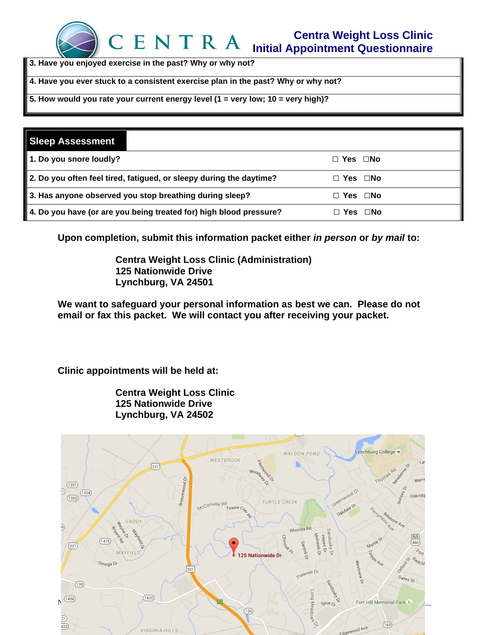

**3. Have you enjoyed exercise in the past? Why or why not?**

**4. Have you ever stuck to a consistent exercise plan in the past? Why or why not?**

**5. How would you rate your current energy level (1 = very low; 10 = very high)?** 

| <b>Sleep Assessment</b>                                             |                      |
|---------------------------------------------------------------------|----------------------|
| 1. Do you snore loudly?                                             | $\Box$ Yes $\Box$ No |
| 2. Do you often feel tired, fatigued, or sleepy during the daytime? | $\Box$ Yes $\Box$ No |
| 3. Has anyone observed you stop breathing during sleep?             | Yes □No              |
| 4. Do you have (or are you being treated for) high blood pressure?  | Yes ⊡No              |

**Upon completion, submit this information packet either** *in person* **or** *by mail* **to:**

**Centra Weight Loss Clinic (Administration) 125 Nationwide Drive Lynchburg, VA 24501**

**We want to safeguard your personal information as best we can. Please do not email or fax this packet. We will contact you after receiving your packet.**

**Clinic appointments will be held at:**

**Centra Weight Loss Clinic 125 Nationwide Drive Lynchburg, VA 24502**